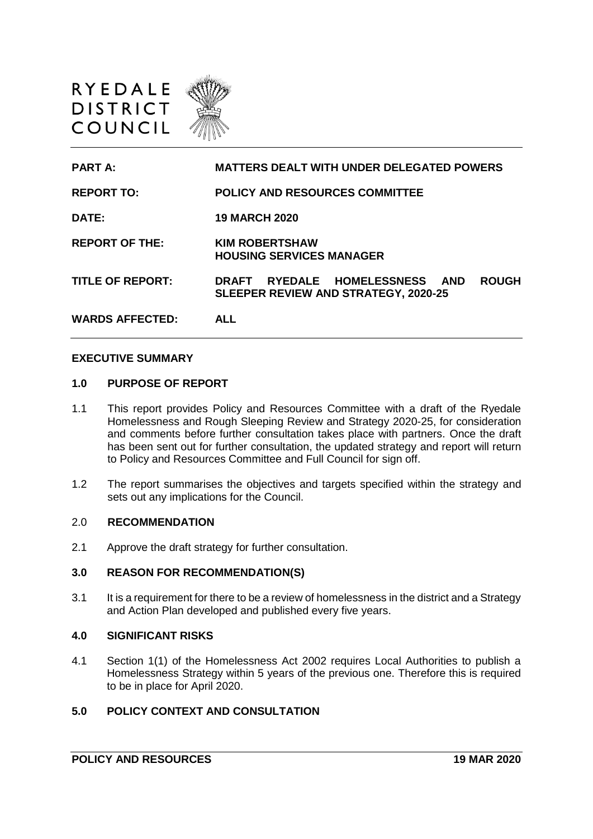



**PART A: MATTERS DEALT WITH UNDER DELEGATED POWERS REPORT TO: POLICY AND RESOURCES COMMITTEE DATE: 19 MARCH 2020 REPORT OF THE: KIM ROBERTSHAW HOUSING SERVICES MANAGER TITLE OF REPORT: DRAFT RYEDALE HOMELESSNESS AND ROUGH SLEEPER REVIEW AND STRATEGY, 2020-25 WARDS AFFECTED: ALL**

#### **EXECUTIVE SUMMARY**

#### **1.0 PURPOSE OF REPORT**

- 1.1 This report provides Policy and Resources Committee with a draft of the Ryedale Homelessness and Rough Sleeping Review and Strategy 2020-25, for consideration and comments before further consultation takes place with partners. Once the draft has been sent out for further consultation, the updated strategy and report will return to Policy and Resources Committee and Full Council for sign off.
- 1.2 The report summarises the objectives and targets specified within the strategy and sets out any implications for the Council.

### 2.0 **RECOMMENDATION**

2.1 Approve the draft strategy for further consultation.

### **3.0 REASON FOR RECOMMENDATION(S)**

3.1 It is a requirement for there to be a review of homelessness in the district and a Strategy and Action Plan developed and published every five years.

#### **4.0 SIGNIFICANT RISKS**

4.1 Section 1(1) of the Homelessness Act 2002 requires Local Authorities to publish a Homelessness Strategy within 5 years of the previous one. Therefore this is required to be in place for April 2020.

## **5.0 POLICY CONTEXT AND CONSULTATION**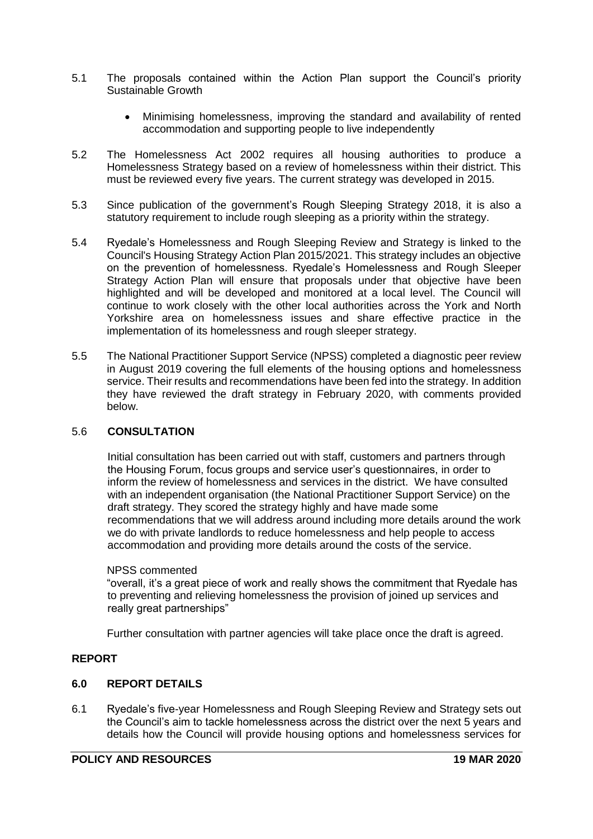- 5.1 The proposals contained within the Action Plan support the Council's priority Sustainable Growth
	- Minimising homelessness, improving the standard and availability of rented accommodation and supporting people to live independently
- 5.2 The Homelessness Act 2002 requires all housing authorities to produce a Homelessness Strategy based on a review of homelessness within their district. This must be reviewed every five years. The current strategy was developed in 2015.
- 5.3 Since publication of the government's Rough Sleeping Strategy 2018, it is also a statutory requirement to include rough sleeping as a priority within the strategy.
- 5.4 Ryedale's Homelessness and Rough Sleeping Review and Strategy is linked to the Council's Housing Strategy Action Plan 2015/2021. This strategy includes an objective on the prevention of homelessness. Ryedale's Homelessness and Rough Sleeper Strategy Action Plan will ensure that proposals under that objective have been highlighted and will be developed and monitored at a local level. The Council will continue to work closely with the other local authorities across the York and North Yorkshire area on homelessness issues and share effective practice in the implementation of its homelessness and rough sleeper strategy.
- 5.5 The National Practitioner Support Service (NPSS) completed a diagnostic peer review in August 2019 covering the full elements of the housing options and homelessness service. Their results and recommendations have been fed into the strategy. In addition they have reviewed the draft strategy in February 2020, with comments provided below.

## 5.6 **CONSULTATION**

Initial consultation has been carried out with staff, customers and partners through the Housing Forum, focus groups and service user's questionnaires, in order to inform the review of homelessness and services in the district. We have consulted with an independent organisation (the National Practitioner Support Service) on the draft strategy. They scored the strategy highly and have made some recommendations that we will address around including more details around the work we do with private landlords to reduce homelessness and help people to access accommodation and providing more details around the costs of the service.

## NPSS commented

"overall, it's a great piece of work and really shows the commitment that Ryedale has to preventing and relieving homelessness the provision of joined up services and really great partnerships"

Further consultation with partner agencies will take place once the draft is agreed.

## **REPORT**

## **6.0 REPORT DETAILS**

6.1 Ryedale's five-year Homelessness and Rough Sleeping Review and Strategy sets out the Council's aim to tackle homelessness across the district over the next 5 years and details how the Council will provide housing options and homelessness services for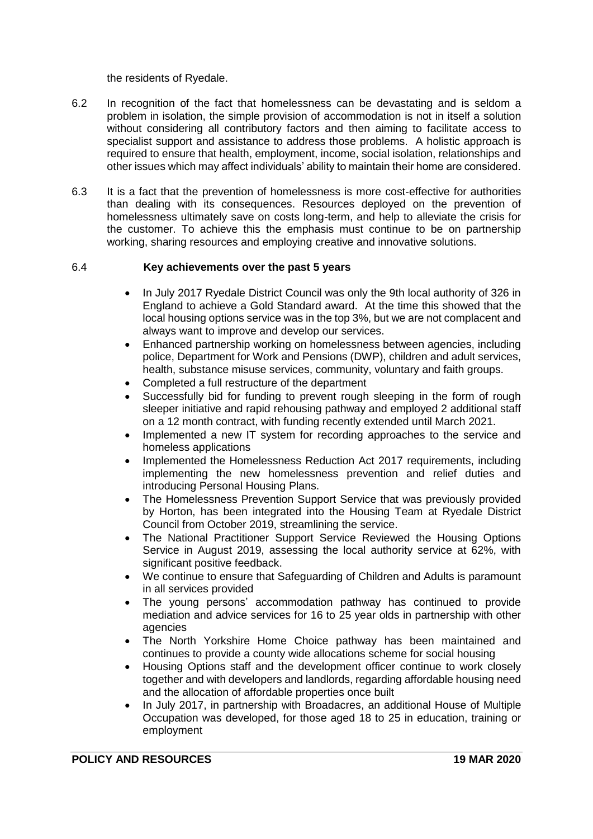the residents of Ryedale.

- 6.2 In recognition of the fact that homelessness can be devastating and is seldom a problem in isolation, the simple provision of accommodation is not in itself a solution without considering all contributory factors and then aiming to facilitate access to specialist support and assistance to address those problems. A holistic approach is required to ensure that health, employment, income, social isolation, relationships and other issues which may affect individuals' ability to maintain their home are considered.
- 6.3 It is a fact that the prevention of homelessness is more cost-effective for authorities than dealing with its consequences. Resources deployed on the prevention of homelessness ultimately save on costs long-term, and help to alleviate the crisis for the customer. To achieve this the emphasis must continue to be on partnership working, sharing resources and employing creative and innovative solutions.

## 6.4 **Key achievements over the past 5 years**

- In July 2017 Ryedale District Council was only the 9th local authority of 326 in England to achieve a Gold Standard award. At the time this showed that the local housing options service was in the top 3%, but we are not complacent and always want to improve and develop our services.
- Enhanced partnership working on homelessness between agencies, including police, Department for Work and Pensions (DWP), children and adult services, health, substance misuse services, community, voluntary and faith groups.
- Completed a full restructure of the department
- Successfully bid for funding to prevent rough sleeping in the form of rough sleeper initiative and rapid rehousing pathway and employed 2 additional staff on a 12 month contract, with funding recently extended until March 2021.
- Implemented a new IT system for recording approaches to the service and homeless applications
- Implemented the Homelessness Reduction Act 2017 requirements, including implementing the new homelessness prevention and relief duties and introducing Personal Housing Plans.
- The Homelessness Prevention Support Service that was previously provided by Horton, has been integrated into the Housing Team at Ryedale District Council from October 2019, streamlining the service.
- The National Practitioner Support Service Reviewed the Housing Options Service in August 2019, assessing the local authority service at 62%, with significant positive feedback.
- We continue to ensure that Safeguarding of Children and Adults is paramount in all services provided
- The young persons' accommodation pathway has continued to provide mediation and advice services for 16 to 25 year olds in partnership with other agencies
- The North Yorkshire Home Choice pathway has been maintained and continues to provide a county wide allocations scheme for social housing
- Housing Options staff and the development officer continue to work closely together and with developers and landlords, regarding affordable housing need and the allocation of affordable properties once built
- In July 2017, in partnership with Broadacres, an additional House of Multiple Occupation was developed, for those aged 18 to 25 in education, training or employment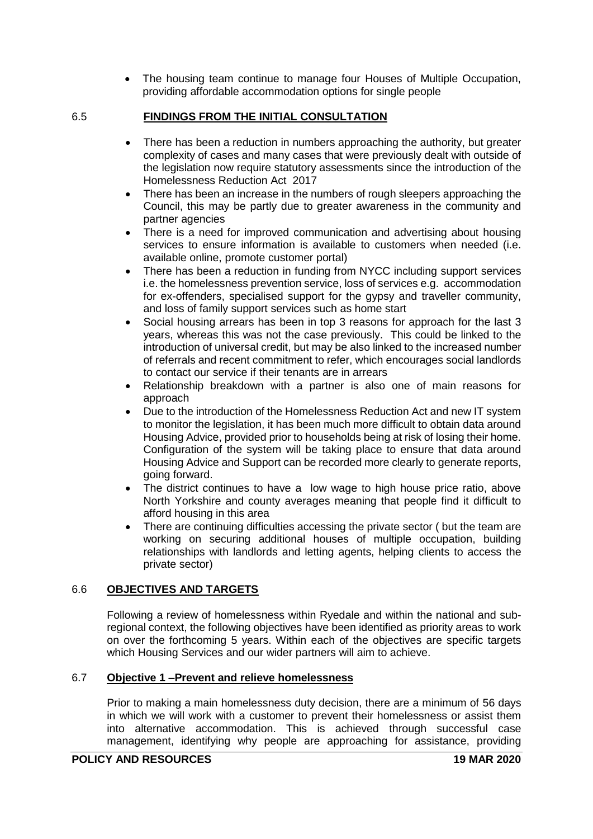The housing team continue to manage four Houses of Multiple Occupation, providing affordable accommodation options for single people

# 6.5 **FINDINGS FROM THE INITIAL CONSULTATION**

- There has been a reduction in numbers approaching the authority, but greater complexity of cases and many cases that were previously dealt with outside of the legislation now require statutory assessments since the introduction of the Homelessness Reduction Act 2017
- There has been an increase in the numbers of rough sleepers approaching the Council, this may be partly due to greater awareness in the community and partner agencies
- There is a need for improved communication and advertising about housing services to ensure information is available to customers when needed (i.e. available online, promote customer portal)
- There has been a reduction in funding from NYCC including support services i.e. the homelessness prevention service, loss of services e.g. accommodation for ex-offenders, specialised support for the gypsy and traveller community, and loss of family support services such as home start
- Social housing arrears has been in top 3 reasons for approach for the last 3 years, whereas this was not the case previously. This could be linked to the introduction of universal credit, but may be also linked to the increased number of referrals and recent commitment to refer, which encourages social landlords to contact our service if their tenants are in arrears
- Relationship breakdown with a partner is also one of main reasons for approach
- Due to the introduction of the Homelessness Reduction Act and new IT system to monitor the legislation, it has been much more difficult to obtain data around Housing Advice, provided prior to households being at risk of losing their home. Configuration of the system will be taking place to ensure that data around Housing Advice and Support can be recorded more clearly to generate reports, going forward.
- The district continues to have a low wage to high house price ratio, above North Yorkshire and county averages meaning that people find it difficult to afford housing in this area
- There are continuing difficulties accessing the private sector ( but the team are working on securing additional houses of multiple occupation, building relationships with landlords and letting agents, helping clients to access the private sector)

# 6.6 **OBJECTIVES AND TARGETS**

Following a review of homelessness within Ryedale and within the national and subregional context, the following objectives have been identified as priority areas to work on over the forthcoming 5 years. Within each of the objectives are specific targets which Housing Services and our wider partners will aim to achieve.

# 6.7 **Objective 1 –Prevent and relieve homelessness**

Prior to making a main homelessness duty decision, there are a minimum of 56 days in which we will work with a customer to prevent their homelessness or assist them into alternative accommodation. This is achieved through successful case management, identifying why people are approaching for assistance, providing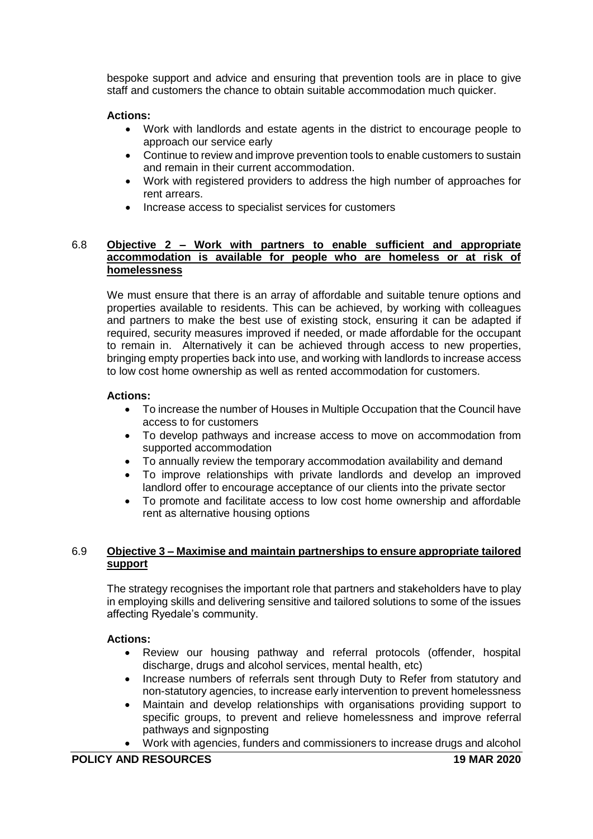bespoke support and advice and ensuring that prevention tools are in place to give staff and customers the chance to obtain suitable accommodation much quicker.

## **Actions:**

- Work with landlords and estate agents in the district to encourage people to approach our service early
- Continue to review and improve prevention tools to enable customers to sustain and remain in their current accommodation.
- Work with registered providers to address the high number of approaches for rent arrears.
- Increase access to specialist services for customers

## 6.8 **Objective 2 – Work with partners to enable sufficient and appropriate accommodation is available for people who are homeless or at risk of homelessness**

We must ensure that there is an array of affordable and suitable tenure options and properties available to residents. This can be achieved, by working with colleagues and partners to make the best use of existing stock, ensuring it can be adapted if required, security measures improved if needed, or made affordable for the occupant to remain in. Alternatively it can be achieved through access to new properties, bringing empty properties back into use, and working with landlords to increase access to low cost home ownership as well as rented accommodation for customers.

## **Actions:**

- To increase the number of Houses in Multiple Occupation that the Council have access to for customers
- To develop pathways and increase access to move on accommodation from supported accommodation
- To annually review the temporary accommodation availability and demand
- To improve relationships with private landlords and develop an improved landlord offer to encourage acceptance of our clients into the private sector
- To promote and facilitate access to low cost home ownership and affordable rent as alternative housing options

## 6.9 **Objective 3 – Maximise and maintain partnerships to ensure appropriate tailored support**

The strategy recognises the important role that partners and stakeholders have to play in employing skills and delivering sensitive and tailored solutions to some of the issues affecting Ryedale's community.

## **Actions:**

- Review our housing pathway and referral protocols (offender, hospital discharge, drugs and alcohol services, mental health, etc)
- Increase numbers of referrals sent through Duty to Refer from statutory and non-statutory agencies, to increase early intervention to prevent homelessness
- Maintain and develop relationships with organisations providing support to specific groups, to prevent and relieve homelessness and improve referral pathways and signposting
- Work with agencies, funders and commissioners to increase drugs and alcohol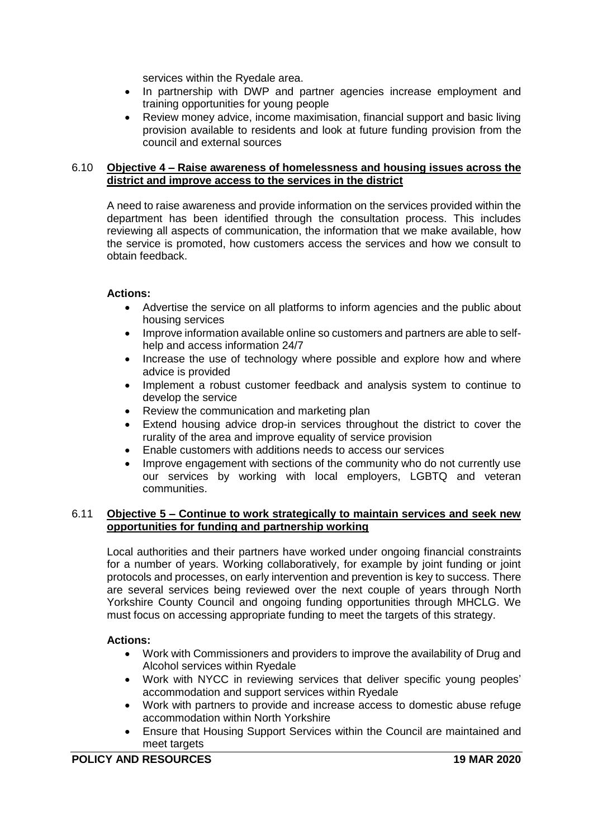services within the Ryedale area.

- In partnership with DWP and partner agencies increase employment and training opportunities for young people
- Review money advice, income maximisation, financial support and basic living provision available to residents and look at future funding provision from the council and external sources

### 6.10 **Objective 4 – Raise awareness of homelessness and housing issues across the district and improve access to the services in the district**

A need to raise awareness and provide information on the services provided within the department has been identified through the consultation process. This includes reviewing all aspects of communication, the information that we make available, how the service is promoted, how customers access the services and how we consult to obtain feedback.

## **Actions:**

- Advertise the service on all platforms to inform agencies and the public about housing services
- Improve information available online so customers and partners are able to selfhelp and access information 24/7
- Increase the use of technology where possible and explore how and where advice is provided
- Implement a robust customer feedback and analysis system to continue to develop the service
- Review the communication and marketing plan
- Extend housing advice drop-in services throughout the district to cover the rurality of the area and improve equality of service provision
- Enable customers with additions needs to access our services
- Improve engagement with sections of the community who do not currently use our services by working with local employers, LGBTQ and veteran communities.

### 6.11 **Objective 5 – Continue to work strategically to maintain services and seek new opportunities for funding and partnership working**

Local authorities and their partners have worked under ongoing financial constraints for a number of years. Working collaboratively, for example by joint funding or joint protocols and processes, on early intervention and prevention is key to success. There are several services being reviewed over the next couple of years through North Yorkshire County Council and ongoing funding opportunities through MHCLG. We must focus on accessing appropriate funding to meet the targets of this strategy.

## **Actions:**

- Work with Commissioners and providers to improve the availability of Drug and Alcohol services within Ryedale
- Work with NYCC in reviewing services that deliver specific young peoples' accommodation and support services within Ryedale
- Work with partners to provide and increase access to domestic abuse refuge accommodation within North Yorkshire
- Ensure that Housing Support Services within the Council are maintained and meet targets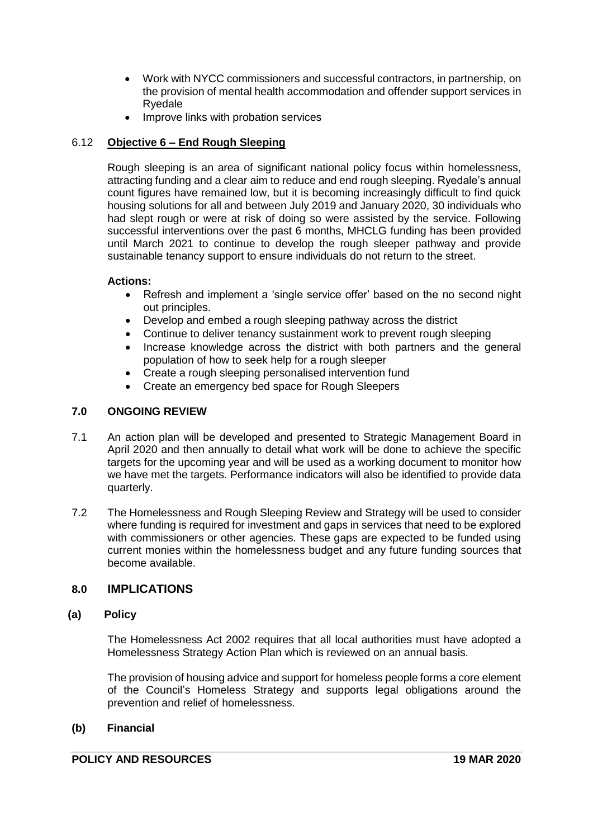- Work with NYCC commissioners and successful contractors, in partnership, on the provision of mental health accommodation and offender support services in Ryedale
- Improve links with probation services

# 6.12 **Objective 6 – End Rough Sleeping**

Rough sleeping is an area of significant national policy focus within homelessness, attracting funding and a clear aim to reduce and end rough sleeping. Ryedale's annual count figures have remained low, but it is becoming increasingly difficult to find quick housing solutions for all and between July 2019 and January 2020, 30 individuals who had slept rough or were at risk of doing so were assisted by the service. Following successful interventions over the past 6 months, MHCLG funding has been provided until March 2021 to continue to develop the rough sleeper pathway and provide sustainable tenancy support to ensure individuals do not return to the street.

## **Actions:**

- Refresh and implement a 'single service offer' based on the no second night out principles.
- Develop and embed a rough sleeping pathway across the district
- Continue to deliver tenancy sustainment work to prevent rough sleeping
- Increase knowledge across the district with both partners and the general population of how to seek help for a rough sleeper
- Create a rough sleeping personalised intervention fund
- Create an emergency bed space for Rough Sleepers

# **7.0 ONGOING REVIEW**

- 7.1 An action plan will be developed and presented to Strategic Management Board in April 2020 and then annually to detail what work will be done to achieve the specific targets for the upcoming year and will be used as a working document to monitor how we have met the targets. Performance indicators will also be identified to provide data quarterly.
- 7.2 The Homelessness and Rough Sleeping Review and Strategy will be used to consider where funding is required for investment and gaps in services that need to be explored with commissioners or other agencies. These gaps are expected to be funded using current monies within the homelessness budget and any future funding sources that become available.

# **8.0 IMPLICATIONS**

## **(a) Policy**

The Homelessness Act 2002 requires that all local authorities must have adopted a Homelessness Strategy Action Plan which is reviewed on an annual basis.

The provision of housing advice and support for homeless people forms a core element of the Council's Homeless Strategy and supports legal obligations around the prevention and relief of homelessness.

## **(b) Financial**